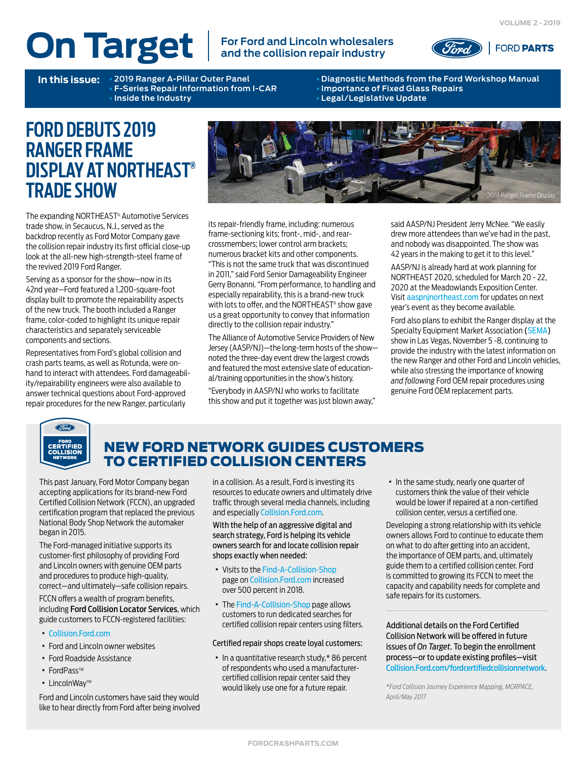# **On Target For Ford and Lincoln wholesalers**

# **and the collision repair industry**



**F-Series Repair Information from I-CAR** • **Inside the Industry** • **Legal/Legislative Update**

**In this issue:** • **2019 Ranger A-Pillar Outer Panel** • **Diagnostic Methods from the Ford Workshop Manual**

## **FORD DEBUTS 2019 RANGER FRAME DISPLAY AT NORTHEAST® TRADE SHOW**

The expanding NORTHEAST® Automotive Services trade show, in Secaucus, N.J., served as the backdrop recently as Ford Motor Company gave the collision repair industry its first official close-up look at the all-new high-strength-steel frame of the revived 2019 Ford Ranger.

Serving as a sponsor for the show—now in its 42nd year—Ford featured a 1,200-square-foot display built to promote the repairability aspects of the new truck. The booth included a Ranger frame, color-coded to highlight its unique repair characteristics and separately serviceable components and sections.

Representatives from Ford's global collision and crash parts teams, as well as Rotunda, were onhand to interact with attendees. Ford damageability/repairability engineers were also available to answer technical questions about Ford-approved repair procedures for the new Ranger, particularly



its repair-friendly frame, including: numerous frame-sectioning kits; front-, mid-, and rearcrossmembers; lower control arm brackets; numerous bracket kits and other components. "This is not the same truck that was discontinued in 2011," said Ford Senior Damageability Engineer Gerry Bonanni. "From performance, to handling and especially repairability, this is a brand-new truck with lots to offer, and the NORTHEAST® show gave us a great opportunity to convey that information directly to the collision repair industry."

The Alliance of Automotive Service Providers of New Jersey (AASP/NJ)—the long-term hosts of the show noted the three-day event drew the largest crowds and featured the most extensive slate of educational/training opportunities in the show's history.

"Everybody in AASP/NJ who works to facilitate this show and put it together was just blown away," said AASP/NJ President Jerry McNee. "We easily drew more attendees than we've had in the past, and nobody was disappointed. The show was 42 years in the making to get it to this level."

AASP/NJ is already hard at work planning for NORTHEAST 2020, scheduled for March 20 - 22, 2020 at the Meadowlands Exposition Center. Visit [aaspnjnortheast.com](http://www.aaspnjnortheast.com) for updates on next year's event as they become available.

Ford also plans to exhibit the Ranger display at the Specialty Equipment Market Association [\(SEMA\)](https://www.semashow.com) show in Las Vegas, November 5 -8, continuing to provide the industry with the latest information on the new Ranger and other Ford and Lincoln vehicles, while also stressing the importance of knowing *and following* Ford OEM repair procedures using genuine Ford OEM replacement parts.



## NEW FORD NETWORK GUIDES CUSTOMERS TO CERTIFIED COLLISION CENTERS

This past January, Ford Motor Company began accepting applications for its brand-new Ford Certified Collision Network (FCCN), an upgraded certification program that replaced the previous National Body Shop Network the automaker began in 2015.

The Ford-managed initiative supports its customer-first philosophy of providing Ford and Lincoln owners with genuine OEM parts and procedures to produce high-quality, correct—and ultimately—safe collision repairs.

FCCN offers a wealth of program benefits, including Ford Collision Locator Services, which guide customers to FCCN-registered facilities:

- · [Collision.Ford.com](https://www.collision.ford.com)
- · Ford and Lincoln owner websites
- · Ford Roadside Assistance
- FordPass™
- · LincolnWayTM

Ford and Lincoln customers have said they would like to hear directly from Ford after being involved

in a collision. As a result, Ford is investing its resources to educate owners and ultimately drive traffic through several media channels, including and especially [Collision.Ford.com](https://www.collision.ford.com).

With the help of an aggressive digital and search strategy, Ford is helping its vehicle owners search for and locate collision repair shops exactly when needed:

- · Visits to the [Find-A-Collision-Shop](https://www.collision.ford.com/find-a-collision-shop) page on [Collision.Ford.com](https://www.collision.ford.com) increased over 500 percent in 2018.
- · The [Find-A-Collision-Shop](https://www.collision.ford.com/find-a-collision-shop) page allows customers to run dedicated searches for certified collision repair centers using filters.

#### Certified repair shops create loyal customers:

· In a quantitative research study,\* 86 percent of respondents who used a manufacturercertified collision repair center said they would likely use one for a future repair.

· In the same study, nearly one quarter of customers think the value of their vehicle would be lower if repaired at a non-certified collision center, versus a certified one.

Developing a strong relationship with its vehicle owners allows Ford to continue to educate them on what to do after getting into an accident, the importance of OEM parts, and, ultimately guide them to a certified collision center. Ford is committed to growing its FCCN to meet the capacity and capability needs for complete and safe repairs for its customers.

Additional details on the Ford Certified Collision Network will be offered in future issues of *On Target*. To begin the enrollment process—or to update existing profiles—visit [Collision.Ford.com/fordcertifiedcollisionnetwork](https://collision.ford.com/fordcertifiedcollisionnetwork).

*\*Ford Collision Journey Experience Mapping, MORPACE, April/May 2017*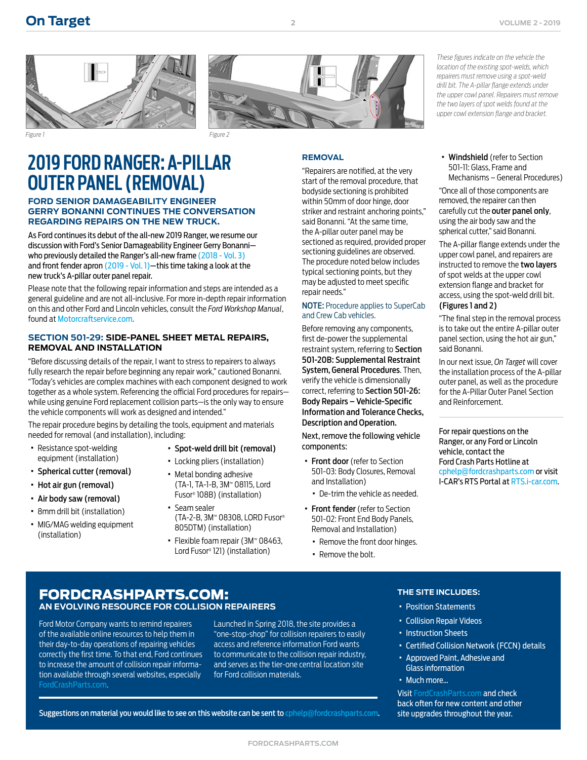



**2**

## **2019 FORD RANGER: A-PILLAR OUTER PANEL (REMOVAL)**

#### **FORD SENIOR DAMAGEABILITY ENGINEER GERRY BONANNI CONTINUES THE CONVERSATION REGARDING REPAIRS ON THE NEW TRUCK.**

As Ford continues its debut of the all-new 2019 Ranger, we resume our discussion with Ford's Senior Damageability Engineer Gerry Bonanni who previously detailed the Ranger's all-new frame [\(2018 - Vol. 3\)](https://www.oem1stop.com/sites/default/files/On%20Target%20-%202018%2C%20Vol.%203.pdf) and front fender apron [\(2019 - Vol. 1\)—](https://www.fordcrashparts.com/sites/default/files/On%20Target%20(2019%20-%20Vol.%201)%20FINAL.pdf)this time taking a look at the new truck's A-pillar outer panel repair.

Please note that the following repair information and steps are intended as a general guideline and are not all-inclusive. For more in-depth repair information on this and other Ford and Lincoln vehicles, consult the *Ford Workshop Manual*, found at [Motorcraftservice.com](https://www.motorcraftservice.com).

#### **SECTION 501-29: SIDE-PANEL SHEET METAL REPAIRS, REMOVAL AND INSTALLATION**

"Before discussing details of the repair, I want to stress to repairers to always fully research the repair before beginning any repair work," cautioned Bonanni. "Today's vehicles are complex machines with each component designed to work together as a whole system. Referencing the official Ford procedures for repairs while using genuine Ford replacement collision parts—is the only way to ensure the vehicle components will work as designed and intended."

The repair procedure begins by detailing the tools, equipment and materials needed for removal (and installation), including:

- · Resistance spot-welding equipment (installation)
- · Spherical cutter (removal)
- · Hot air gun (removal)
- · Air body saw (removal)
- · 8mm drill bit (installation)
- · MIG/MAG welding equipment (installation)
- · Spot-weld drill bit (removal)
- · Locking pliers (installation)
- · Metal bonding adhesive (TA-1, TA-1-B, 3M™ 08115, Lord Fusor® 108B) (installation)
- · Seam sealer (TA-2-B, 3M™ 08308, LORD Fusor® 805DTM) (installation)
- · Flexible foam repair (3M™ 08463, Lord Fusor® 121) (installation)

#### **REMOVAL**

"Repairers are notified, at the very start of the removal procedure, that bodyside sectioning is prohibited within 50mm of door hinge, door striker and restraint anchoring points," said Bonanni. "At the same time, the A-pillar outer panel may be sectioned as required, provided proper sectioning guidelines are observed. The procedure noted below includes typical sectioning points, but they may be adjusted to meet specific repair needs."

#### NOTE: Procedure applies to SuperCab and Crew Cab vehicles.

Before removing any components, first de-power the supplemental restraint system, referring to Section 501-20B: Supplemental Restraint System, General Procedures. Then, verify the vehicle is dimensionally correct, referring to Section 501-26: Body Repairs – Vehicle-Specific Information and Tolerance Checks, Description and Operation.

Next, remove the following vehicle components:

- · Front door (refer to Section 501-03: Body Closures, Removal and Installation)
	- · De-trim the vehicle as needed.
- · Front fender (refer to Section 501-02: Front End Body Panels, Removal and Installation)
	- · Remove the front door hinges.
	- · Remove the bolt.

*These figures indicate on the vehicle the location of the existing spot-welds, which repairers must remove using a spot-weld drill bit. The A-pillar flange extends under the upper cowl panel. Repairers must remove the two layers of spot welds found at the upper cowl extension flange and bracket.*

· Windshield (refer to Section 501-11: Glass, Frame and Mechanisms – General Procedures)

"Once all of those components are removed, the repairer can then carefully cut the outer panel only, using the air body saw and the spherical cutter," said Bonanni.

The A-pillar flange extends under the upper cowl panel, and repairers are instructed to remove the two layers of spot welds at the upper cowl extension flange and bracket for access, using the spot-weld drill bit.

## (Figures 1 and 2)

"The final step in the removal process is to take out the entire A-pillar outer panel section, using the hot air gun," said Bonanni.

In our next issue, *On Target* will cover the installation process of the A-pillar outer panel, as well as the procedure for the A-Pillar Outer Panel Section and Reinforcement.

For repair questions on the Ranger, or any Ford or Lincoln vehicle, contact the Ford Crash Parts Hotline at [cphelp@fordcrashparts.com](mailto:cphelp%40fordcrashparts.com?subject=Ford/Lincoln%20Repair%20Question) or visit I-CAR's RTS Portal at RTS[.i-car.com.](https://rts.i-car.com)

### FORDCRASHPARTS.COM: **AN EVOLVING RESOURCE FOR COLLISION REPAIRERS**

Ford Motor Company wants to remind repairers of the available online resources to help them in their day-to-day operations of repairing vehicles correctly the first time. To that end, Ford continues to increase the amount of collision repair information available through several websites, especially [FordCrashParts.com](http://FordCrashParts.com).

Launched in Spring 2018, the site provides a "one-stop-shop" for collision repairers to easily access and reference information Ford wants to communicate to the collision repair industry, and serves as the tier-one central location site for Ford collision materials.

Suggestions on material you would like to see on this website can be sent to [cphelp@fordcrashparts.com](mailto:cphelp%40fordcrashparts.com?subject=Ford/Lincoln%20Repair%20Question).

#### **THE SITE INCLUDES:**

- · Position Statements
- · Collision Repair Videos
- · Instruction Sheets
- · Certified Collision Network (FCCN) details
- · Approved Paint, Adhesive and Glass information

#### · Much more…

Visit [FordCrashParts.com](http://FordCrashParts.com) and check back often for new content and other site upgrades throughout the year.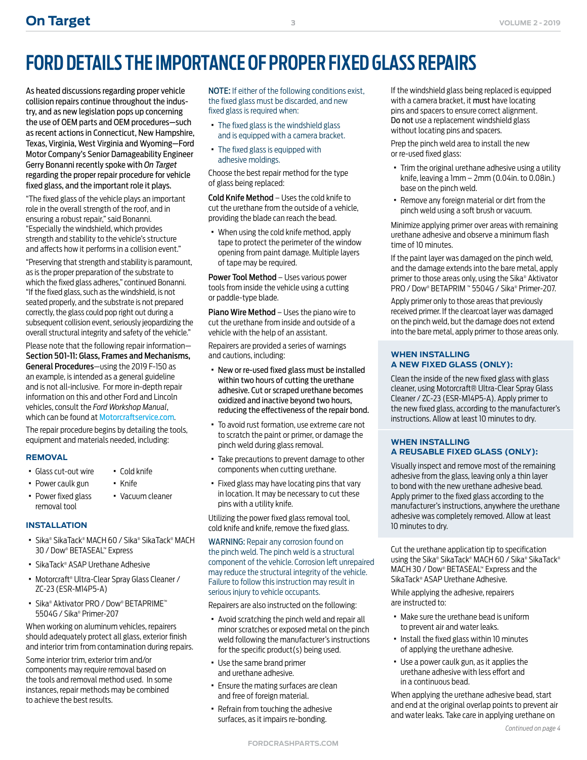# **FORD DETAILS THE IMPORTANCE OF PROPER FIXED GLASS REPAIRS**

As heated discussions regarding proper vehicle collision repairs continue throughout the industry, and as new legislation pops up concerning the use of OEM parts and OEM procedures—such as recent actions in Connecticut, New Hampshire, Texas, Virginia, West Virginia and Wyoming—Ford Motor Company's Senior Damageability Engineer Gerry Bonanni recently spoke with *On Target* regarding the proper repair procedure for vehicle fixed glass, and the important role it plays.

"The fixed glass of the vehicle plays an important role in the overall strength of the roof, and in ensuring a robust repair," said Bonanni. "Especially the windshield, which provides strength and stability to the vehicle's structure and affects how it performs in a collision event."

"Preserving that strength and stability is paramount, as is the proper preparation of the substrate to which the fixed glass adheres," continued Bonanni. "If the fixed glass, such as the windshield, is not seated properly, and the substrate is not prepared correctly, the glass could pop right out during a subsequent collision event, seriously jeopardizing the overall structural integrity and safety of the vehicle."

Please note that the following repair information— Section 501-11: Glass, Frames and Mechanisms, General Procedures—using the 2019 F-150 as an example, is intended as a general guideline and is not all-inclusive. For more in-depth repair information on this and other Ford and Lincoln vehicles, consult the *Ford Workshop Manual*, which can be found at [Motorcraftservice.com](http://MotorcraftService.com).

The repair procedure begins by detailing the tools, equipment and materials needed, including:

#### **REMOVAL**

- · Glass cut-out wire · Cold knife
- · Power caulk gun
- · Power fixed glass removal tool

#### **INSTALLATION**

■ Sika® SikaTack® MACH 60 / Sika® SikaTack® MACH 30 / Dow® BETASEAL™ Express

· Knife

· Vacuum cleaner

- · SikaTack® ASAP Urethane Adhesive
- · Motorcraft® Ultra-Clear Spray Glass Cleaner / ZC-23 (ESR-M14P5-A)
- · Sika® Aktivator PRO / Dow® BETAPRIME™ 5504G / Sika® Primer-207

When working on aluminum vehicles, repairers should adequately protect all glass, exterior finish and interior trim from contamination during repairs.

Some interior trim, exterior trim and/or components may require removal based on the tools and removal method used. In some instances, repair methods may be combined to achieve the best results.

NOTE: If either of the following conditions exist, the fixed glass must be discarded, and new fixed glass is required when:

**3**

- · The fixed glass is the windshield glass and is equipped with a camera bracket.
- · The fixed glass is equipped with adhesive moldings.

Choose the best repair method for the type of glass being replaced:

Cold Knife Method – Uses the cold knife to cut the urethane from the outside of a vehicle, providing the blade can reach the bead.

· When using the cold knife method, apply tape to protect the perimeter of the window opening from paint damage. Multiple layers of tape may be required.

Power Tool Method - Uses various power tools from inside the vehicle using a cutting or paddle-type blade.

Piano Wire Method – Uses the piano wire to cut the urethane from inside and outside of a vehicle with the help of an assistant.

Repairers are provided a series of warnings and cautions, including:

- · New or re-used fixed glass must be installed within two hours of cutting the urethane adhesive. Cut or scraped urethane becomes oxidized and inactive beyond two hours, reducing the effectiveness of the repair bond.
- · To avoid rust formation, use extreme care not to scratch the paint or primer, or damage the pinch weld during glass removal.
- · Take precautions to prevent damage to other components when cutting urethane.
- · Fixed glass may have locating pins that vary in location. It may be necessary to cut these pins with a utility knife.

Utilizing the power fixed glass removal tool, cold knife and knife, remove the fixed glass.

WARNING: Repair any corrosion found on the pinch weld. The pinch weld is a structural component of the vehicle. Corrosion left unrepaired may reduce the structural integrity of the vehicle. Failure to follow this instruction may result in serious injury to vehicle occupants.

Repairers are also instructed on the following:

- · Avoid scratching the pinch weld and repair all minor scratches or exposed metal on the pinch weld following the manufacturer's instructions for the specific product(s) being used.
- · Use the same brand primer and urethane adhesive.
- · Ensure the mating surfaces are clean and free of foreign material.
- · Refrain from touching the adhesive surfaces, as it impairs re-bonding.

If the windshield glass being replaced is equipped with a camera bracket, it must have locating pins and spacers to ensure correct alignment. Do not use a replacement windshield glass without locating pins and spacers.

Prep the pinch weld area to install the new or re-used fixed glass:

- · Trim the original urethane adhesive using a utility knife, leaving a 1mm – 2mm (0.04in. to 0.08in.) base on the pinch weld.
- · Remove any foreign material or dirt from the pinch weld using a soft brush or vacuum.

Minimize applying primer over areas with remaining urethane adhesive and observe a minimum flash time of 10 minutes.

If the paint layer was damaged on the pinch weld, and the damage extends into the bare metal, apply primer to those areas only, using the Sika® Aktivator PRO / Dow® BETAPRIM ™ 5504G / Sika® Primer-207.

Apply primer only to those areas that previously received primer. If the clearcoat layer was damaged on the pinch weld, but the damage does not extend into the bare metal, apply primer to those areas only.

#### **WHEN INSTALLING A NEW FIXED GLASS (ONLY):**

Clean the inside of the new fixed glass with glass cleaner, using Motorcraft® Ultra-Clear Spray Glass Cleaner / ZC-23 (ESR-M14P5-A). Apply primer to the new fixed glass, according to the manufacturer's instructions. Allow at least 10 minutes to dry.

#### **WHEN INSTALLING A REUSABLE FIXED GLASS (ONLY):**

Visually inspect and remove most of the remaining adhesive from the glass, leaving only a thin layer to bond with the new urethane adhesive bead. Apply primer to the fixed glass according to the manufacturer's instructions, anywhere the urethane adhesive was completely removed. Allow at least 10 minutes to dry.

Cut the urethane application tip to specification using the Sika® SikaTack® MACH 60 / Sika® SikaTack® MACH 30 / Dow® BETASEAL™ Express and the SikaTack® ASAP Urethane Adhesive.

While applying the adhesive, repairers are instructed to:

- · Make sure the urethane bead is uniform to prevent air and water leaks.
- · Install the fixed glass within 10 minutes of applying the urethane adhesive.
- · Use a power caulk gun, as it applies the urethane adhesive with less effort and in a continuous bead.

When applying the urethane adhesive bead, start and end at the original overlap points to prevent air and water leaks. Take care in applying urethane on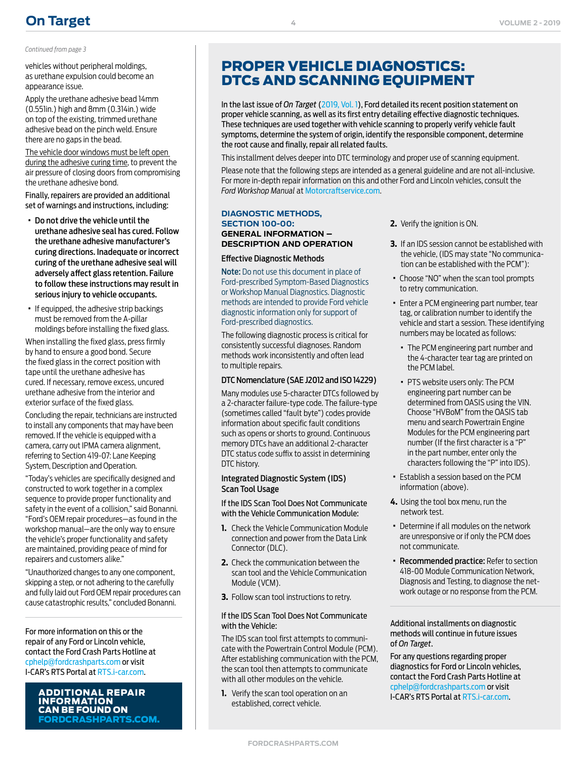## **[On Target](https://fordcrashparts.com/) VOLUME 2 - 2019**

*Continued from page 3*

vehicles without peripheral moldings, as urethane expulsion could become an appearance issue.

Apply the urethane adhesive bead 14mm (0.551in.) high and 8mm (0.314in.) wide on top of the existing, trimmed urethane adhesive bead on the pinch weld. Ensure there are no gaps in the bead.

The vehicle door windows must be left open during the adhesive curing time, to prevent the air pressure of closing doors from compromising the urethane adhesive bond.

Finally, repairers are provided an additional set of warnings and instructions, including:

- · Do not drive the vehicle until the urethane adhesive seal has cured. Follow the urethane adhesive manufacturer's curing directions. Inadequate or incorrect curing of the urethane adhesive seal will adversely affect glass retention. Failure to follow these instructions may result in serious injury to vehicle occupants.
- · If equipped, the adhesive strip backings must be removed from the A-pillar moldings before installing the fixed glass.

When installing the fixed glass, press firmly by hand to ensure a good bond. Secure the fixed glass in the correct position with tape until the urethane adhesive has cured. If necessary, remove excess, uncured urethane adhesive from the interior and exterior surface of the fixed glass.

Concluding the repair, technicians are instructed to install any components that may have been removed. If the vehicle is equipped with a camera, carry out IPMA camera alignment, referring to Section 419-07: Lane Keeping System, Description and Operation.

"Today's vehicles are specifically designed and constructed to work together in a complex sequence to provide proper functionality and safety in the event of a collision," said Bonanni. "Ford's OEM repair procedures—as found in the workshop manual—are the only way to ensure the vehicle's proper functionality and safety are maintained, providing peace of mind for repairers and customers alike."

"Unauthorized changes to any one component, skipping a step, or not adhering to the carefully and fully laid out Ford OEM repair procedures can cause catastrophic results," concluded Bonanni.

For more information on this or the repair of any Ford or Lincoln vehicle, contact the Ford Crash Parts Hotline at [cphelp@fordcrashparts.com](mailto:cphelp%40fordcrashparts.com?subject=Ford/Lincoln%20Repair%20Question) or visit I-CAR's RTS Portal at RT[S.i-car.com](https://rts.i-car.com).

> INFORMATION CAN BE FOUND ON [FORDCRASHPARTS.COM.](http://FordCrashParts.com)

## PROPER VEHICLE DIAGNOSTICS: DTCs AND SCANNING EQUIPMENT

In the last issue of *On Target* (2019, Vol. 1), Ford detailed its recent position statement on proper vehicle scanning, as well as its first entry detailing effective diagnostic techniques. These techniques are used together with vehicle scanning to properly verify vehicle fault symptoms, determine the system of origin, identify the responsible component, determine the root cause and finally, repair all related faults.

This installment delves deeper into DTC terminology and proper use of scanning equipment.

Please note that the following steps are intended as a general guideline and are not all-inclusive. For more in-depth repair information on this and other Ford and Lincoln vehicles, consult the *Ford Workshop Manual* at [Motorcraftservice.com](https://www.motorcraftservice.com/Home/SetCountry?returnUrl=https%3A%2F%2Fwww.motorcraftservice.com%3A1402%2F).

#### **DIAGNOSTIC METHODS, SECTION 100-00: GENERAL INFORMATION – DESCRIPTION AND OPERATION**

**4**

#### Effective Diagnostic Methods

Note: Do not use this document in place of Ford-prescribed Symptom-Based Diagnostics or Workshop Manual Diagnostics. Diagnostic methods are intended to provide Ford vehicle diagnostic information only for support of Ford-prescribed diagnostics.

The following diagnostic process is critical for consistently successful diagnoses. Random methods work inconsistently and often lead to multiple repairs.

#### DTC Nomenclature (SAE J2012 and ISO 14229)

Many modules use 5-character DTCs followed by a 2-character failure-type code. The failure-type (sometimes called "fault byte") codes provide information about specific fault conditions such as opens or shorts to ground. Continuous memory DTCs have an additional 2-character DTC status code suffix to assist in determining DTC history.

#### Integrated Diagnostic System (IDS) Scan Tool Usage

If the IDS Scan Tool Does Not Communicate with the Vehicle Communication Module:

- **1.** Check the Vehicle Communication Module connection and power from the Data Link Connector (DLC).
- **2.** Check the communication between the scan tool and the Vehicle Communication Module (VCM).
- **3.** Follow scan tool instructions to retry.

#### If the IDS Scan Tool Does Not Communicate with the Vehicle:

The IDS scan tool first attempts to communicate with the Powertrain Control Module (PCM). After establishing communication with the PCM, the scan tool then attempts to communicate with all other modules on the vehicle.

**1.** Verify the scan tool operation on an established, correct vehicle.

- **2.** Verify the ignition is ON.
- **3.** If an IDS session cannot be established with the vehicle, (IDS may state "No communication can be established with the PCM"):
- · Choose "NO" when the scan tool prompts to retry communication.
- · Enter a PCM engineering part number, tear tag, or calibration number to identify the vehicle and start a session. These identifying numbers may be located as follows:
	- · The PCM engineering part number and the 4-character tear tag are printed on the PCM label.
- · PTS website users only: The PCM engineering part number can be determined from OASIS using the VIN. Choose "HVBoM" from the OASIS tab menu and search Powertrain Engine Modules for the PCM engineering part number (If the first character is a "P" in the part number, enter only the characters following the "P" into IDS).
- · Establish a session based on the PCM information (above).
- **4.** Using the tool box menu, run the network test.
- · Determine if all modules on the network are unresponsive or if only the PCM does not communicate.
- · Recommended practice: Refer to section 418-00 Module Communication Network, Diagnosis and Testing, to diagnose the network outage or no response from the PCM.

Additional installments on diagnostic methods will continue in future issues of *On Target*.

For any questions regarding proper diagnostics for Ford or Lincoln vehicles, contact the Ford Crash Parts Hotline at [cphelp@fordcrashparts.com](mailto:cphelp%40fordcrashparts.com?subject=Ford/Lincoln%20Repair%20Question) or visit **ADDITIONAL REPAIR**<br> **I.** Verify the scan tool operation on an TCAR's RTS Portal at RTS[.i-car.com.](https://rts.i-car.com)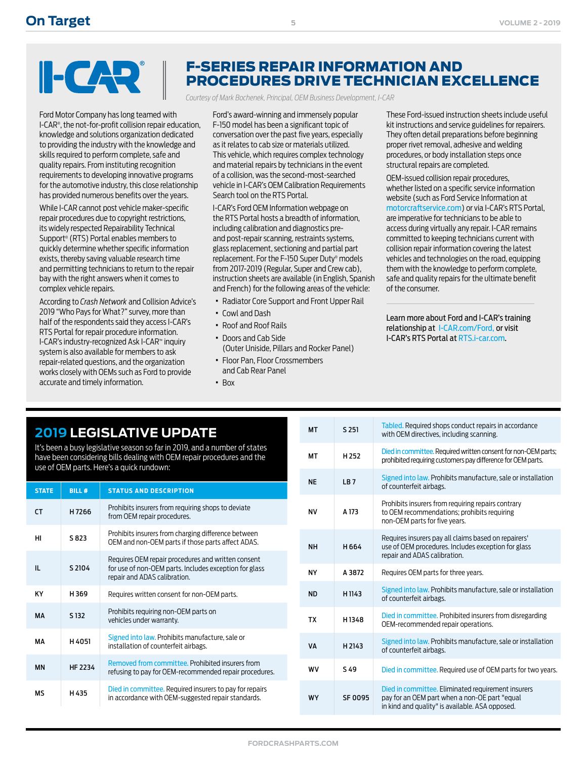# $\blacksquare$

Ford Motor Company has long teamed with I-CAR® , the not-for-profit collision repair education, knowledge and solutions organization dedicated to providing the industry with the knowledge and skills required to perform complete, safe and quality repairs. From instituting recognition requirements to developing innovative programs for the automotive industry, this close relationship has provided numerous benefits over the years.

While I-CAR cannot post vehicle maker-specific repair procedures due to copyright restrictions, its widely respected Repairability Technical Support® (RTS) Portal enables members to quickly determine whether specific information exists, thereby saving valuable research time and permitting technicians to return to the repair bay with the right answers when it comes to complex vehicle repairs.

According to *Crash Network* and Collision Advice's 2019 "Who Pays for What?" survey, more than half of the respondents said they access I-CAR's RTS Portal for repair procedure information. I-CAR's industry-recognized Ask I-CAR™ inquiry system is also available for members to ask repair-related questions, and the organization works closely with OEMs such as Ford to provide accurate and timely information.

## F-SERIES REPAIR INFORMATION AND PROCEDURES DRIVE TECHNICIAN EXCELLENCE

*Courtesy of Mark Bochenek, Principal, OEM Business Development, I-CAR*

Ford's award-winning and immensely popular F-150 model has been a significant topic of conversation over the past five years, especially as it relates to cab size or materials utilized. This vehicle, which requires complex technology and material repairs by technicians in the event of a collision, was the second-most-searched vehicle in I-CAR's OEM Calibration Requirements Search tool on the RTS Portal.

I-CAR's Ford OEM Information webpage on the RTS Portal hosts a breadth of information, including calibration and diagnostics preand post-repair scanning, restraints systems, glass replacement, sectioning and partial part replacement. For the F-150 Super Duty® models from 2017-2019 (Regular, Super and Crew cab), instruction sheets are available (in English, Spanish and French) for the following areas of the vehicle:

- · Radiator Core Support and Front Upper Rail
- · Cowl and Dash
- · Roof and Roof Rails
- · Doors and Cab Side
- (Outer Uniside, Pillars and Rocker Panel) · Floor Pan, Floor Crossmembers
- and Cab Rear Panel
- · Box

These Ford-issued instruction sheets include useful kit instructions and service guidelines for repairers. They often detail preparations before beginning proper rivet removal, adhesive and welding procedures, or body installation steps once structural repairs are completed.

OEM-issued collision repair procedures, whether listed on a specific service information website (such as Ford Service Information at [motorcraftservice.com](http://motorcraftservice.com)) or via I-CAR's RTS Portal, are imperative for technicians to be able to access during virtually any repair. I-CAR remains committed to keeping technicians current with collision repair information covering the latest vehicles and technologies on the road, equipping them with the knowledge to perform complete, safe and quality repairs for the ultimate benefit of the consumer.

Learn more about Ford and I-CAR's training relationship at [I-CAR.com/Ford,](http://I-CAR.com/Ford) or visit I-CAR's RTS Portal at RTS[.i-car.com.](https://rts.i-car.com)

## **2019 LEGISLATIVE UPDATE**

It's been a busy legislative season so far in 2019, and a number of states have been considering bills dealing with OEM repair procedures and the use of OEM parts. Here's a quick rundown:

| <b>STATE</b> | <b>BILL#</b>     | <b>STATUS AND DESCRIPTION</b>                                                                                                                |
|--------------|------------------|----------------------------------------------------------------------------------------------------------------------------------------------|
| <b>CT</b>    | H7266            | Prohibits insurers from requiring shops to deviate<br>from OEM repair procedures.                                                            |
| HI           | S 823            | Prohibits insurers from charging difference between<br>OEM and non-OEM parts if those parts affect ADAS.                                     |
| Ш.           | S 2104           | Requires OEM repair procedures and written consent<br>for use of non-OEM parts. Includes exception for glass<br>repair and ADAS calibration. |
| <b>KY</b>    | H369             | Requires written consent for non-OEM parts.                                                                                                  |
| MA           | S <sub>132</sub> | Prohibits requiring non-OEM parts on<br>vehicles under warranty.                                                                             |
| MА           | H4051            | Signed into law. Prohibits manufacture, sale or<br>installation of counterfeit airbags.                                                      |
| <b>MN</b>    | HF 2234          | Removed from committee. Prohibited insurers from<br>refusing to pay for OEM-recommended repair procedures.                                   |
| МS           | H 435            | Died in committee. Required insurers to pay for repairs<br>in accordance with OEM-suggested repair standards.                                |

| <b>MT</b> | S 251            | Tabled. Required shops conduct repairs in accordance<br>with OEM directives, including scanning.                                                       |
|-----------|------------------|--------------------------------------------------------------------------------------------------------------------------------------------------------|
| MT        | H <sub>252</sub> | Died in committee. Required written consent for non-OEM parts;<br>prohibited requiring customers pay difference for OEM parts.                         |
| <b>NE</b> | IB7              | Signed into law. Prohibits manufacture, sale or installation<br>of counterfeit airbags.                                                                |
| ΝV        | A 173            | Prohibits insurers from requiring repairs contrary<br>to OEM recommendations; prohibits requiring<br>non-OEM parts for five years.                     |
| <b>NH</b> | H 664            | Requires insurers pay all claims based on repairers'<br>use of OEM procedures. Includes exception for glass<br>repair and ADAS calibration.            |
| <b>NY</b> | A 3872           | Requires OEM parts for three years.                                                                                                                    |
| <b>ND</b> | H1143            | Signed into law. Prohibits manufacture, sale or installation<br>of counterfeit airbags.                                                                |
| <b>TX</b> | H1348            | Died in committee. Prohibited insurers from disregarding<br>OEM-recommended repair operations.                                                         |
| <b>VA</b> | H 2143           | Signed into law. Prohibits manufacture, sale or installation<br>of counterfeit airbags.                                                                |
| <b>WV</b> | 549              | Died in committee. Required use of OEM parts for two years.                                                                                            |
| <b>WY</b> | SF 0095          | Died in committee. Eliminated requirement insurers<br>pay for an OEM part when a non-OE part "equal<br>in kind and quality" is available. ASA opposed. |